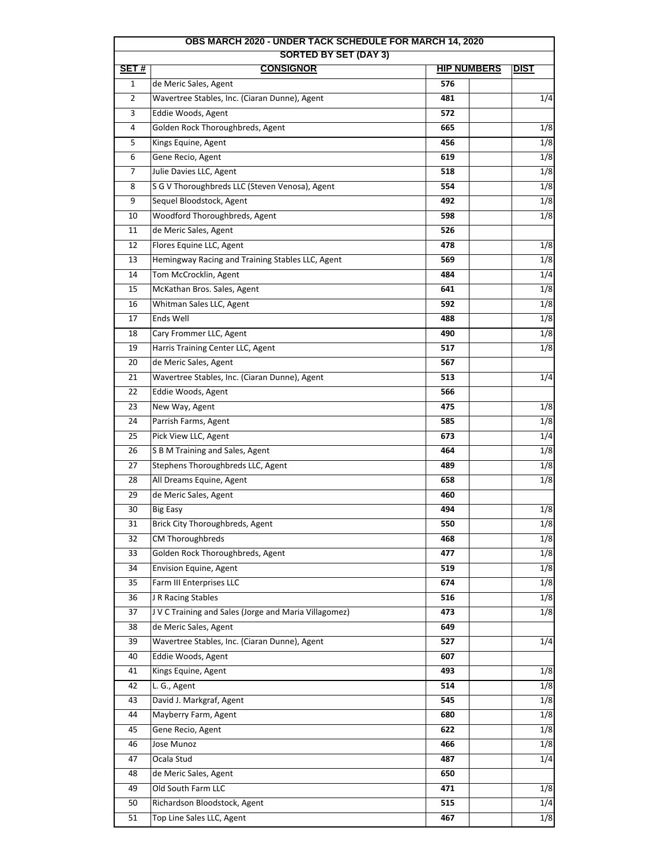| OBS MARCH 2020 - UNDER TACK SCHEDULE FOR MARCH 14, 2020 |                                                                        |                    |             |  |  |
|---------------------------------------------------------|------------------------------------------------------------------------|--------------------|-------------|--|--|
|                                                         | <b>SORTED BY SET (DAY 3)</b>                                           |                    |             |  |  |
| SET#                                                    | <b>CONSIGNOR</b>                                                       | <b>HIP NUMBERS</b> | <b>DIST</b> |  |  |
| $\mathbf{1}$<br>2                                       | de Meric Sales, Agent<br>Wavertree Stables, Inc. (Ciaran Dunne), Agent | 576<br>481         | 1/4         |  |  |
| 3                                                       | Eddie Woods, Agent                                                     | 572                |             |  |  |
| 4                                                       | Golden Rock Thoroughbreds, Agent                                       | 665                | 1/8         |  |  |
| 5                                                       |                                                                        | 456                |             |  |  |
| 6                                                       | Kings Equine, Agent<br>Gene Recio, Agent                               | 619                | 1/8<br>1/8  |  |  |
| 7                                                       | Julie Davies LLC, Agent                                                | 518                | 1/8         |  |  |
| 8                                                       | S G V Thoroughbreds LLC (Steven Venosa), Agent                         | 554                | 1/8         |  |  |
| 9                                                       | Sequel Bloodstock, Agent                                               | 492                | 1/8         |  |  |
| 10                                                      | Woodford Thoroughbreds, Agent                                          | 598                | 1/8         |  |  |
| 11                                                      | de Meric Sales, Agent                                                  | 526                |             |  |  |
| 12                                                      | Flores Equine LLC, Agent                                               | 478                | 1/8         |  |  |
| 13                                                      | Hemingway Racing and Training Stables LLC, Agent                       | 569                | 1/8         |  |  |
| 14                                                      | Tom McCrocklin, Agent                                                  | 484                | 1/4         |  |  |
| 15                                                      | McKathan Bros. Sales, Agent                                            | 641                | 1/8         |  |  |
| 16                                                      | Whitman Sales LLC, Agent                                               | 592                | 1/8         |  |  |
| 17                                                      | Ends Well                                                              | 488                | 1/8         |  |  |
| 18                                                      | Cary Frommer LLC, Agent                                                | 490                | 1/8         |  |  |
| 19                                                      | Harris Training Center LLC, Agent                                      | 517                | 1/8         |  |  |
| 20                                                      | de Meric Sales, Agent                                                  | 567                |             |  |  |
| 21                                                      | Wavertree Stables, Inc. (Ciaran Dunne), Agent                          | 513                | 1/4         |  |  |
| 22                                                      | Eddie Woods, Agent                                                     | 566                |             |  |  |
| 23                                                      |                                                                        | 475                | 1/8         |  |  |
|                                                         | New Way, Agent                                                         |                    |             |  |  |
| 24                                                      | Parrish Farms, Agent                                                   | 585                | 1/8         |  |  |
| 25                                                      | Pick View LLC, Agent                                                   | 673                | 1/4         |  |  |
| 26                                                      | S B M Training and Sales, Agent                                        | 464                | 1/8         |  |  |
| 27                                                      | Stephens Thoroughbreds LLC, Agent<br>All Dreams Equine, Agent          | 489                | 1/8         |  |  |
| 28<br>29                                                |                                                                        | 658                | 1/8         |  |  |
|                                                         | de Meric Sales, Agent                                                  | 460                |             |  |  |
| 30                                                      | <b>Big Easy</b>                                                        | 494                | 1/8         |  |  |
| 31                                                      | Brick City Thoroughbreds, Agent                                        | 550                | 1/8         |  |  |
| 32                                                      | CM Thoroughbreds<br>Golden Rock Thoroughbreds, Agent                   | 468                | 1/8         |  |  |
| 33<br>34                                                | Envision Equine, Agent                                                 | 477<br>519         | 1/8<br>1/8  |  |  |
| 35                                                      | Farm III Enterprises LLC                                               | 674                | 1/8         |  |  |
| 36                                                      | J R Racing Stables                                                     | 516                | 1/8         |  |  |
| 37                                                      | J V C Training and Sales (Jorge and Maria Villagomez)                  | 473                | 1/8         |  |  |
| 38                                                      | de Meric Sales, Agent                                                  | 649                |             |  |  |
| 39                                                      | Wavertree Stables, Inc. (Ciaran Dunne), Agent                          | 527                | 1/4         |  |  |
| 40                                                      | Eddie Woods, Agent                                                     | 607                |             |  |  |
| 41                                                      | Kings Equine, Agent                                                    | 493                | 1/8         |  |  |
| 42                                                      | L. G., Agent                                                           | 514                | 1/8         |  |  |
|                                                         |                                                                        |                    |             |  |  |
| 43                                                      | David J. Markgraf, Agent                                               | 545                | 1/8         |  |  |
| 44                                                      | Mayberry Farm, Agent                                                   | 680                | 1/8         |  |  |
| 45                                                      | Gene Recio, Agent                                                      | 622                | 1/8         |  |  |
| 46<br>47                                                | Jose Munoz                                                             | 466                | 1/8         |  |  |
| 48                                                      | Ocala Stud<br>de Meric Sales, Agent                                    | 487<br>650         | 1/4         |  |  |
| 49                                                      | Old South Farm LLC                                                     | 471                | 1/8         |  |  |
|                                                         |                                                                        |                    |             |  |  |

 Richardson Bloodstock, Agent **515** 1/4 Top Line Sales LLC, Agent **467** 1/8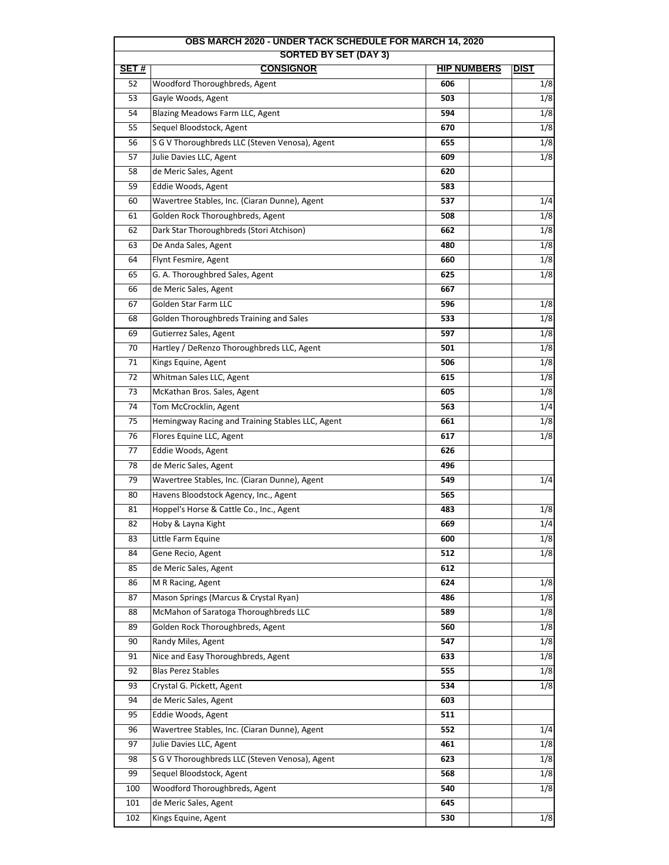| <b>OBS MARCH 2020 - UNDER TACK SCHEDULE FOR MARCH 14, 2020</b> |                                                                                |                    |                         |  |  |
|----------------------------------------------------------------|--------------------------------------------------------------------------------|--------------------|-------------------------|--|--|
| <b>SORTED BY SET (DAY 3)</b>                                   |                                                                                |                    |                         |  |  |
| SET#                                                           | <b>CONSIGNOR</b>                                                               | <b>HIP NUMBERS</b> | <b>DIST</b>             |  |  |
| 52                                                             | Woodford Thoroughbreds, Agent                                                  | 606                | 1/8                     |  |  |
| 53                                                             | Gayle Woods, Agent                                                             | 503                | 1/8                     |  |  |
| 54                                                             | Blazing Meadows Farm LLC, Agent                                                | 594                | 1/8<br>$\overline{1/8}$ |  |  |
| 55                                                             | Sequel Bloodstock, Agent                                                       | 670                |                         |  |  |
| 56                                                             | S G V Thoroughbreds LLC (Steven Venosa), Agent                                 | 655                | 1/8                     |  |  |
| 57                                                             | Julie Davies LLC, Agent                                                        | 609                | 1/8                     |  |  |
| 58<br>59                                                       | de Meric Sales, Agent<br>Eddie Woods, Agent                                    | 620<br>583         |                         |  |  |
| 60                                                             |                                                                                |                    |                         |  |  |
| 61                                                             | Wavertree Stables, Inc. (Ciaran Dunne), Agent                                  | 537<br>508         | 1/4<br>1/8              |  |  |
|                                                                | Golden Rock Thoroughbreds, Agent                                               |                    |                         |  |  |
| 62                                                             | Dark Star Thoroughbreds (Stori Atchison)                                       | 662                | 1/8                     |  |  |
| 63                                                             | De Anda Sales, Agent                                                           | 480                | 1/8                     |  |  |
| 64                                                             | Flynt Fesmire, Agent<br>G. A. Thoroughbred Sales, Agent                        | 660                | 1/8                     |  |  |
| 65<br>66                                                       | de Meric Sales, Agent                                                          | 625                | 1/8                     |  |  |
|                                                                | Golden Star Farm LLC                                                           | 667                | 1/8                     |  |  |
| 67                                                             | Golden Thoroughbreds Training and Sales                                        | 596                | 1/8                     |  |  |
| 68                                                             |                                                                                | 533                | 1/8                     |  |  |
| 69                                                             | Gutierrez Sales, Agent<br>Hartley / DeRenzo Thoroughbreds LLC, Agent           | 597                |                         |  |  |
| 70                                                             |                                                                                | 501                | 1/8                     |  |  |
| 71<br>72                                                       | Kings Equine, Agent                                                            | 506<br>615         | 1/8<br>$\overline{1/8}$ |  |  |
| 73                                                             | Whitman Sales LLC, Agent                                                       |                    | $\overline{1/8}$        |  |  |
|                                                                | McKathan Bros. Sales, Agent                                                    | 605                |                         |  |  |
| 74                                                             | Tom McCrocklin, Agent                                                          | 563                | 1/4                     |  |  |
| 75                                                             | Hemingway Racing and Training Stables LLC, Agent                               | 661                | 1/8                     |  |  |
| 76                                                             | Flores Equine LLC, Agent                                                       | 617                | 1/8                     |  |  |
| 77                                                             | Eddie Woods, Agent                                                             | 626                |                         |  |  |
| 78                                                             | de Meric Sales, Agent                                                          | 496                |                         |  |  |
| 79                                                             | Wavertree Stables, Inc. (Ciaran Dunne), Agent                                  | 549                | 1/4                     |  |  |
| 80                                                             | Havens Bloodstock Agency, Inc., Agent                                          | 565                |                         |  |  |
| 81                                                             | Hoppel's Horse & Cattle Co., Inc., Agent                                       | 483                | 1/8                     |  |  |
| 82                                                             | Hoby & Layna Kight                                                             | 669                | 1/4                     |  |  |
| 83                                                             | Little Farm Equine                                                             | 600                | 1/8                     |  |  |
| 84                                                             | Gene Recio, Agent                                                              | 512                | 1/8                     |  |  |
| 85                                                             | de Meric Sales, Agent                                                          | 612                |                         |  |  |
| 86                                                             | M R Racing, Agent                                                              | 624                | 1/8                     |  |  |
| 87                                                             | Mason Springs (Marcus & Crystal Ryan)<br>McMahon of Saratoga Thoroughbreds LLC | 486                | 1/8                     |  |  |
| 88                                                             |                                                                                | 589                | 1/8                     |  |  |
| 89                                                             | Golden Rock Thoroughbreds, Agent                                               | 560                | 1/8                     |  |  |
| 90                                                             | Randy Miles, Agent                                                             | 547                | 1/8                     |  |  |
| 91                                                             | Nice and Easy Thoroughbreds, Agent                                             | 633                | 1/8                     |  |  |
| 92                                                             | <b>Blas Perez Stables</b>                                                      | 555                | 1/8                     |  |  |
| 93                                                             | Crystal G. Pickett, Agent                                                      | 534                | 1/8                     |  |  |
| 94                                                             | de Meric Sales, Agent                                                          | 603                |                         |  |  |
| 95                                                             | Eddie Woods, Agent                                                             | 511                |                         |  |  |
| 96                                                             | Wavertree Stables, Inc. (Ciaran Dunne), Agent                                  | 552                | 1/4                     |  |  |
| 97                                                             | Julie Davies LLC, Agent                                                        | 461                | 1/8                     |  |  |
| 98                                                             | S G V Thoroughbreds LLC (Steven Venosa), Agent                                 | 623                | 1/8                     |  |  |
| 99                                                             | Sequel Bloodstock, Agent                                                       | 568                | 1/8                     |  |  |
| 100                                                            | Woodford Thoroughbreds, Agent                                                  | 540                | 1/8                     |  |  |
| 101                                                            | de Meric Sales, Agent                                                          | 645                |                         |  |  |
| 102                                                            | Kings Equine, Agent                                                            | 530                | 1/8                     |  |  |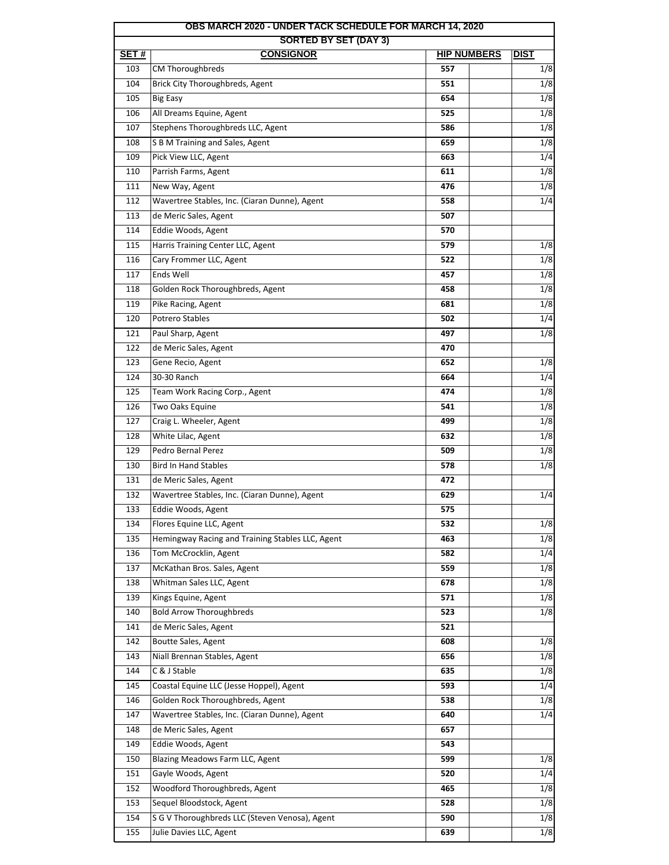| SET# | <b>SORTED BY SET (DAY 3)</b><br><b>CONSIGNOR</b> | <b>HIP NUMBERS</b> | <b>DIST</b>      |
|------|--------------------------------------------------|--------------------|------------------|
| 103  | CM Thoroughbreds                                 | 557                | 1/8              |
| 104  | Brick City Thoroughbreds, Agent                  | 551                | 1/8              |
| 105  | <b>Big Easy</b>                                  | 654                | 1/8              |
| 106  | All Dreams Equine, Agent                         | 525                | 1/8              |
| 107  | Stephens Thoroughbreds LLC, Agent                | 586                | 1/8              |
| 108  | S B M Training and Sales, Agent                  | 659                | 1/8              |
| 109  | Pick View LLC, Agent                             | 663                | 1/4              |
| 110  | Parrish Farms, Agent                             |                    | 1/8              |
|      |                                                  | 611                | 1/8              |
| 111  | New Way, Agent                                   | 476                |                  |
| 112  | Wavertree Stables, Inc. (Ciaran Dunne), Agent    | 558                | 1/4              |
| 113  | de Meric Sales, Agent                            | 507                |                  |
| 114  | Eddie Woods, Agent                               | 570                |                  |
| 115  | Harris Training Center LLC, Agent                | 579                | 1/8              |
| 116  | Cary Frommer LLC, Agent                          | 522                | 1/8              |
| 117  | Ends Well                                        | 457                | 1/8              |
| 118  | Golden Rock Thoroughbreds, Agent                 | 458                | 1/8              |
| 119  | Pike Racing, Agent                               | 681                | 1/8              |
| 120  | <b>Potrero Stables</b>                           | 502                | 1/4              |
| 121  | Paul Sharp, Agent                                | 497                | 1/8              |
| 122  | de Meric Sales, Agent                            | 470                |                  |
| 123  | Gene Recio, Agent                                | 652                | 1/8              |
| 124  | 30-30 Ranch                                      | 664                | 1/4              |
| 125  | Team Work Racing Corp., Agent                    | 474                | 1/8              |
| 126  | Two Oaks Equine                                  | 541                | 1/8              |
| 127  | Craig L. Wheeler, Agent                          | 499                | 1/8              |
| 128  | White Lilac, Agent                               | 632                | 1/8              |
| 129  | Pedro Bernal Perez                               | 509                | 1/8              |
| 130  | <b>Bird In Hand Stables</b>                      | 578                | 1/8              |
| 131  | de Meric Sales, Agent                            | 472                |                  |
| 132  | Wavertree Stables, Inc. (Ciaran Dunne), Agent    | 629                | 1/4              |
| 133  | Eddie Woods, Agent                               | 575                |                  |
| 134  | Flores Equine LLC, Agent                         | 532                | 1/8              |
| 135  | Hemingway Racing and Training Stables LLC, Agent | 463                | 1/8              |
| 136  | Tom McCrocklin, Agent                            | 582                | 1/4              |
| 137  | McKathan Bros. Sales, Agent                      | 559                | 1/8              |
| 138  | Whitman Sales LLC, Agent                         | 678                | 1/8              |
| 139  | Kings Equine, Agent                              | 571                | $\overline{1/8}$ |
| 140  | <b>Bold Arrow Thoroughbreds</b>                  | 523                | 1/8              |
| 141  | de Meric Sales, Agent                            | 521                |                  |
| 142  | Boutte Sales, Agent                              | 608                | 1/8              |
| 143  | Niall Brennan Stables, Agent                     | 656                | 1/8              |
| 144  | C & J Stable                                     | 635                | 1/8              |
| 145  | Coastal Equine LLC (Jesse Hoppel), Agent         | 593                | 1/4              |
| 146  | Golden Rock Thoroughbreds, Agent                 | 538                | 1/8              |
| 147  | Wavertree Stables, Inc. (Ciaran Dunne), Agent    | 640                | 1/4              |
| 148  | de Meric Sales, Agent                            | 657                |                  |
| 149  | Eddie Woods, Agent                               | 543                |                  |
| 150  | Blazing Meadows Farm LLC, Agent                  | 599                | 1/8              |
| 151  | Gayle Woods, Agent                               |                    | 1/4              |
|      |                                                  | 520                |                  |
| 152  | Woodford Thoroughbreds, Agent                    | 465                | 1/8              |
| 153  | Sequel Bloodstock, Agent                         | 528                | 1/8              |
| 154  | S G V Thoroughbreds LLC (Steven Venosa), Agent   | 590                | 1/8              |
| 155  | Julie Davies LLC, Agent                          | 639                | 1/8              |